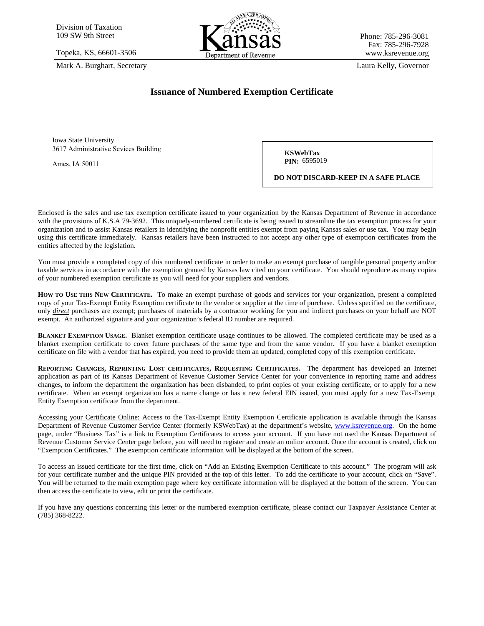

## **Issuance of Numbered Exemption Certificate**

**KSWebTax PIN: 6595019** 

**DO NOT DISCARD-KEEP IN A SAFE PLACE**

Enclosed is the sales and use tax exemption certificate issued to your organization by the Kansas Department of Revenue in accordance with the provisions of K.S.A 79-3692. This uniquely-numbered certificate is being issued to streamline the tax exemption process for your organization and to assist Kansas retailers in identifying the nonprofit entities exempt from paying Kansas sales or use tax. You may begin using this certificate immediately. Kansas retailers have been instructed to not accept any other type of exemption certificates from the entities affected by the legislation.

You must provide a completed copy of this numbered certificate in order to make an exempt purchase of tangible personal property and/or taxable services in accordance with the exemption granted by Kansas law cited on your certificate. You should reproduce as many copies of your numbered exemption certificate as you will need for your suppliers and vendors.

**HOW TO USE THIS NEW CERTIFICATE.** To make an exempt purchase of goods and services for your organization, present a completed copy of your Tax-Exempt Entity Exemption certificate to the vendor or supplier at the time of purchase. Unless specified on the certificate, only *direct* purchases are exempt; purchases of materials by a contractor working for you and indirect purchases on your behalf are NOT exempt. An authorized signature and your organization's federal ID number are required.

**BLANKET EXEMPTION USAGE.** Blanket exemption certificate usage continues to be allowed. The completed certificate may be used as a blanket exemption certificate to cover future purchases of the same type and from the same vendor. If you have a blanket exemption certificate on file with a vendor that has expired, you need to provide them an updated, completed copy of this exemption certificate.

**REPORTING CHANGES, REPRINTING LOST CERTIFICATES, REQUESTING CERTIFICATES.** The department has developed an Internet application as part of its Kansas Department of Revenue Customer Service Center for your convenience in reporting name and address changes, to inform the department the organization has been disbanded, to print copies of your existing certificate, or to apply for a new certificate. When an exempt organization has a name change or has a new federal EIN issued, you must apply for a new Tax-Exempt Entity Exemption certificate from the department.

Accessing your Certificate Online: Access to the Tax-Exempt Entity Exemption Certificate application is available through the Kansas Department of Revenue Customer Service Center (formerly KSWebTax) at the department's website, [www.ksrevenue.org.](http://www.ksrevenue.org/) On the home page, under "Business Tax" is a link to Exemption Certificates to access your account. If you have not used the Kansas Department of Revenue Customer Service Center page before, you will need to register and create an online account. Once the account is created, click on "Exemption Certificates." The exemption certificate information will be displayed at the bottom of the screen.

To access an issued certificate for the first time, click on "Add an Existing Exemption Certificate to this account." The program will ask for your certificate number and the unique PIN provided at the top of this letter. To add the certificate to your account, click on "Save". You will be returned to the main exemption page where key certificate information will be displayed at the bottom of the screen. You can then access the certificate to view, edit or print the certificate.

If you have any questions concerning this letter or the numbered exemption certificate, please contact our Taxpayer Assistance Center at (785) 368-8222.